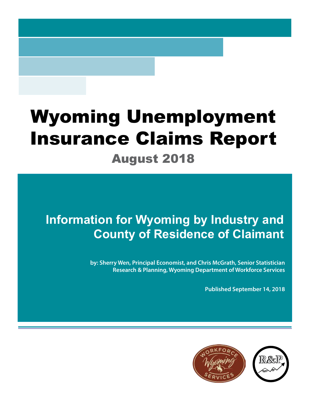# Wyoming Unemployment Insurance Claims Report

## August 2018

## **Information for Wyoming by Industry and County of Residence of Claimant**

**by: Sherry Wen, Principal Economist, and Chris McGrath, Senior Statistician Research & Planning, Wyoming Department of Workforce Services**

**Published September 14, 2018**

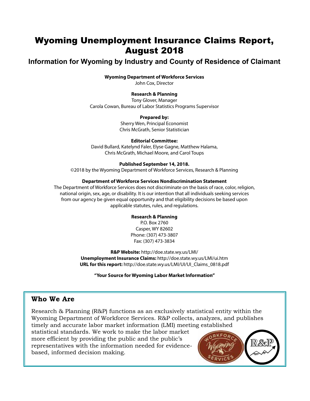## Wyoming Unemployment Insurance Claims Report, August 2018

## **Information for Wyoming by Industry and County of Residence of Claimant**

#### **Wyoming Department of Workforce Services**

John Cox, Director

#### **Research & Planning**

Tony Glover, Manager Carola Cowan, Bureau of Labor Statistics Programs Supervisor

#### **Prepared by:**

Sherry Wen, Principal Economist Chris McGrath, Senior Statistician

#### **Editorial Committee:**

David Bullard, Katelynd Faler, Elyse Gagne, Matthew Halama, Chris McGrath, Michael Moore, and Carol Toups

#### **Published September 14, 2018.**

©2018 by the Wyoming Department of Workforce Services, Research & Planning

#### **Department of Workforce Services Nondiscrimination Statement**

The Department of Workforce Services does not discriminate on the basis of race, color, religion, national origin, sex, age, or disability. It is our intention that all individuals seeking services from our agency be given equal opportunity and that eligibility decisions be based upon applicable statutes, rules, and regulations.

#### **Research & Planning**

P.O. Box 2760 Casper, WY 82602 Phone: (307) 473-3807 Fax: (307) 473-3834

**R&P Website:** http://doe.state.wy.us/LMI/ **Unemployment Insurance Claims:** http://doe.state.wy.us/LMI/ui.htm **URL for this report:** http://doe.state.wy.us/LMI/UI/UI\_Claims\_0818.pdf

**"Your Source for Wyoming Labor Market Information"**

### **Who We Are**

Research & Planning (R&P) functions as an exclusively statistical entity within the Wyoming Department of Workforce Services. R&P collects, analyzes, and publishes timely and accurate labor market information (LMI) meeting established

statistical standards. We work to make the labor market more efficient by providing the public and the public's representatives with the information needed for evidencebased, informed decision making.

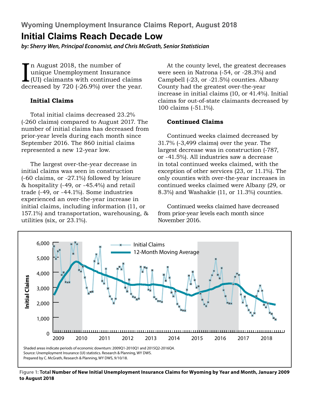## **Initial Claims Reach Decade Low**

*by: Sherry Wen, Principal Economist, and Chris McGrath, Senior Statistician*

In August 2018, the number of<br>
unique Unemployment Insurance<br>
(UI) claimants with continued claims<br>
decreased by 720 (-26.9%) over the year. n August 2018, the number of unique Unemployment Insurance (UI) claimants with continued claims

### **Initial Claims**

Total initial claims decreased 23.2% (-260 claims) compared to August 2017. The number of initial claims has decreased from prior-year levels during each month since September 2016. The 860 initial claims represented a new 12-year low.

The largest over-the-year decrease in initial claims was seen in construction (-60 claims, or -27.1%) followed by leisure & hospitality (-49, or -45.4%) and retail trade (-49, or -44.1%). Some industries experienced an over-the-year increase in initial claims, including information (11, or 157.1%) and transportation, warehousing, & utilities (six, or 23.1%).

At the county level, the greatest decreases were seen in Natrona (-54, or -28.3%) and Campbell (-23, or -21.5%) counties. Albany County had the greatest over-the-year increase in initial claims (10, or 41.4%). Initial claims for out-of-state claimants decreased by 100 claims (-51.1%).

## **Continued Claims**

Continued weeks claimed decreased by 31.7% (-3,499 claims) over the year. The largest decrease was in construction (-787, or -41.5%). All industries saw a decrease in total continued weeks claimed, with the exception of other services (23, or 11.1%). The only counties with over-the-year increases in continued weeks claimed were Albany (29, or 8.3%) and Washakie (11, or 11.3%) counties.

Continued weeks claimed have decreased from prior-year levels each month since November 2016.



**Figure 1: Total Number of New Initial Unemployment Insurance Claims for Wyoming by Year and Month, January 2009 to August 2018**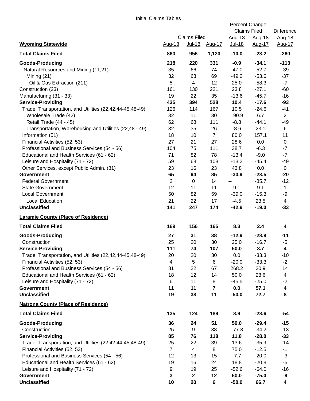|                                                          |                                                |                |                | Percent Change<br><b>Claims Filed</b> |                  | Difference       |
|----------------------------------------------------------|------------------------------------------------|----------------|----------------|---------------------------------------|------------------|------------------|
| <b>Wyoming Statewide</b>                                 | <b>Claims Filed</b><br>Aug-18<br><u>Jul-18</u> |                | <u>Aug-17</u>  | Aug-18<br>Jul-18                      | Aug-18<br>Aug-17 | Aug-18<br>Aug-17 |
| <b>Total Claims Filed</b>                                | 860                                            | 956            | 1,120          | $-10.0$                               | $-23.2$          | $-260$           |
| <b>Goods-Producing</b>                                   | 218                                            | 220            | 331            | $-0.9$                                | $-34.1$          | $-113$           |
| Natural Resources and Mining (11,21)                     | 35                                             | 66             | 74             | $-47.0$                               | $-52.7$          | $-39$            |
| Mining (21)                                              | 32                                             | 63             | 69             | $-49.2$                               | $-53.6$          | $-37$            |
| Oil & Gas Extraction (211)                               | 5                                              | $\overline{4}$ | 12             | 25.0                                  | $-58.3$          | $-7$             |
| Construction (23)                                        | 161                                            | 130            | 221            | 23.8                                  | $-27.1$          | $-60$            |
| Manufacturing (31 - 33)                                  | 19                                             | 22             | 35             | $-13.6$                               | $-45.7$          | $-16$            |
| <b>Service-Providing</b>                                 | 435                                            | 394            | 528            | 10.4                                  | $-17.6$          | $-93$            |
| Trade, Transportation, and Utilities (22,42,44-45,48-49) | 126                                            | 114            | 167            | 10.5                                  | $-24.6$          | $-41$            |
| Wholesale Trade (42)                                     | 32                                             | 11             | 30             | 190.9                                 | 6.7              | $\overline{2}$   |
| Retail Trade (44 - 45)                                   | 62                                             | 68             | 111            | $-8.8$                                | $-44.1$          | $-49$            |
| Transportation, Warehousing and Utilities (22,48 - 49)   | 32                                             | 35             | 26             | $-8.6$                                | 23.1             | 6                |
| Information (51)                                         | 18                                             | 10             | $\overline{7}$ | 80.0                                  | 157.1            | 11               |
| Financial Activities (52, 53)                            | 27                                             | 21             | 27             | 28.6                                  | 0.0              | $\mathbf 0$      |
| Professional and Business Services (54 - 56)             | 104                                            | 75             | 111            | 38.7                                  | $-6.3$           | $-7$             |
| Educational and Health Services (61 - 62)                | 71                                             | 82             | 78             | $-13.4$                               | $-9.0$           | $-7$             |
| Leisure and Hospitality (71 - 72)                        | 59                                             | 68             | 108            | $-13.2$                               | $-45.4$          | $-49$            |
| Other Services, except Public Admin. (81)                | 23                                             | 16             | 23             | 43.8                                  | 0.0              | $\mathbf 0$      |
| <b>Government</b>                                        | 65                                             | 94             | 85             | $-30.9$                               | $-23.5$          | $-20$            |
| <b>Federal Government</b>                                | $\overline{2}$                                 | 0              | 14             | $\overline{\phantom{a}}$              | $-85.7$          | $-12$            |
| <b>State Government</b>                                  | 12                                             | 11             | 11             | 9.1                                   | 9.1              | $\mathbf{1}$     |
| <b>Local Government</b>                                  | 50                                             | 82             | 59             | $-39.0$                               | $-15.3$          | -9               |
| <b>Local Education</b>                                   | 21                                             | 22             | 17             | $-4.5$                                | 23.5             | 4                |
| <b>Unclassified</b>                                      | 141                                            | 247            | 174            | $-42.9$                               | $-19.0$          | $-33$            |
| <b>Laramie County (Place of Residence)</b>               |                                                |                |                |                                       |                  |                  |
| <b>Total Claims Filed</b>                                | 169                                            | 156            | 165            | 8.3                                   | 2.4              | 4                |
| <b>Goods-Producing</b>                                   | 27                                             | 31             | 38             | $-12.9$                               | $-28.9$          | $-11$            |
| Construction                                             | 25                                             | 20             | 30             | 25.0                                  | $-16.7$          | $-5$             |
| <b>Service-Providing</b>                                 | 111                                            | 74             | 107            | $50.0$                                | 3.7              | 4                |
| Trade, Transportation, and Utilities (22,42,44-45,48-49) | 20                                             | 20             | 30             | 0.0                                   | $-33.3$          | $-10$            |
| Financial Activities (52, 53)                            | $\overline{4}$                                 | 5              | 6              | $-20.0$                               | $-33.3$          | $-2$             |
| Professional and Business Services (54 - 56)             | 81                                             | 22             | 67             | 268.2                                 | 20.9             | 14               |
| Educational and Health Services (61 - 62)                | 18                                             | 12             | 14             | 50.0                                  | 28.6             | 4                |
| Leisure and Hospitality (71 - 72)                        | 6                                              | 11             | 8              | $-45.5$                               | $-25.0$          | $-2$             |
| <b>Government</b>                                        | 11                                             | 11             | 7              | 0.0                                   | 57.1             | 4                |
| <b>Unclassified</b>                                      | 19                                             | 38             | 11             | $-50.0$                               | 72.7             | 8                |
| <b>Natrona County (Place of Residence)</b>               |                                                |                |                |                                       |                  |                  |
| <b>Total Claims Filed</b>                                | 135                                            | 124            | 189            | 8.9                                   | $-28.6$          | -54              |
| <b>Goods-Producing</b>                                   | 36                                             | 24             | 51             | 50.0                                  | $-29.4$          | $-15$            |
| Construction                                             | 25                                             | 9              | 38             | 177.8                                 | $-34.2$          | $-13$            |
| <b>Service-Providing</b>                                 | 85                                             | 76             | 118            | 11.8                                  | $-28.0$          | $-33$            |
| Trade, Transportation, and Utilities (22,42,44-45,48-49) | 25                                             | 22             | 39             | 13.6                                  | $-35.9$          | $-14$            |
| Financial Activities (52, 53)                            | $\overline{7}$                                 | 4              | 8              | 75.0                                  | $-12.5$          | $-1$             |
| Professional and Business Services (54 - 56)             | 12                                             | 13             | 15             | $-7.7$                                | $-20.0$          | $-3$             |
| Educational and Health Services (61 - 62)                | 19                                             | 16             | 24             | 18.8                                  | $-20.8$          | $-5$             |
| Leisure and Hospitality (71 - 72)                        | 9                                              | 19             | 25             | $-52.6$                               | $-64.0$          | $-16$            |
| <b>Government</b>                                        | 3                                              | $\mathbf 2$    | 12             | 50.0                                  | $-75.0$          | -9               |
| <b>Unclassified</b>                                      | 10                                             | 20             | 6              | $-50.0$                               | 66.7             | 4                |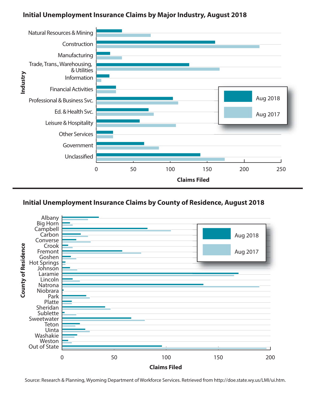## **Initial Unemployment Insurance Claims by Major Industry, August 2018**



## **Initial Unemployment Insurance Claims by County of Residence, August 2018**



Source: Research & Planning, Wyoming Department of Workforce Services. Retrieved from http://doe.state.wy.us/LMI/ui.htm.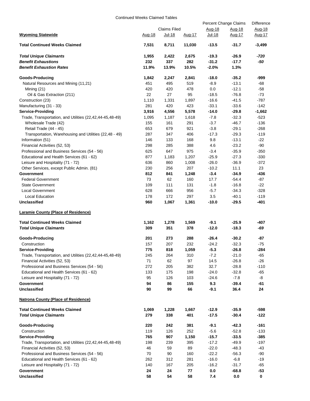Continued Weeks Claimed Tables

|                                                          |               |                     |               | Percent Change Claims |               | Difference |
|----------------------------------------------------------|---------------|---------------------|---------------|-----------------------|---------------|------------|
|                                                          |               | <b>Claims Filed</b> |               | Aug-18                | Aug-18        | Aug-18     |
| <b>Wyoming Statewide</b>                                 | <u>Aug-18</u> | Jul-18              | <u>Aug-17</u> | Jul-18                | <u>Aug-17</u> | Aug-17     |
| <b>Total Continued Weeks Claimed</b>                     | 7,531         | 8,711               | 11,030        | -13.5                 | $-31.7$       | $-3,499$   |
| <b>Total Unique Claimants</b>                            | 1,955         | 2,422               | 2,675         | -19.3                 | -26.9         | -720       |
| <b>Benefit Exhaustions</b>                               | 232           | 337                 | 282           | $-31.2$               | $-17.7$       | -50        |
| <b>Benefit Exhaustion Rates</b>                          | 11.9%         | 13.9%               | 10.5%         | $-2.0%$               | 1.3%          |            |
| <b>Goods-Producing</b>                                   | 1,842         | 2,247               | 2,841         | -18.0                 | $-35.2$       | -999       |
| Natural Resources and Mining (11,21)                     | 451           | 495                 | 519           | $-8.9$                | $-13.1$       | -68        |
| Mining $(21)$                                            | 420           | 420                 | 478           | 0.0                   | $-12.1$       | $-58$      |
| Oil & Gas Extraction (211)                               | 22            | 27                  | 95            | $-18.5$               | $-76.8$       | $-73$      |
| Construction (23)                                        | 1,110         | 1,331               | 1,897         | $-16.6$               | $-41.5$       | $-787$     |
| Manufacturing (31 - 33)                                  | 281           | 420                 | 423           | $-33.1$               | $-33.6$       | $-142$     |
| <b>Service-Providing</b>                                 | 3,916         | 4,556               | 5,578         | -14.0                 | $-29.8$       | $-1,662$   |
| Trade, Transportation, and Utilities (22,42,44-45,48-49) | 1,095         | 1,187               | 1,618         | $-7.8$                | $-32.3$       | $-523$     |
| Wholesale Trade (42)                                     | 155           | 161                 | 291           | $-3.7$                | $-46.7$       | $-136$     |
| Retail Trade (44 - 45)                                   | 653           | 679                 | 921           | $-3.8$                | $-29.1$       | $-268$     |
| Transportation, Warehousing and Utilities (22,48 - 49)   | 287           | 347                 | 406           | $-17.3$               | $-29.3$       | $-119$     |
| Information (51)                                         | 146           | 133                 | 168           | 9.8                   | $-13.1$       | $-22$      |
| Financial Activities (52, 53)                            | 298           | 285                 | 388           | 4.6                   | $-23.2$       | -90        |
| Professional and Business Services (54 - 56)             | 625           | 647                 | 975           | $-3.4$                | $-35.9$       | $-350$     |
| Educational and Health Services (61 - 62)                | 877           | 1,183               | 1,207         | $-25.9$               | $-27.3$       | $-330$     |
| Leisure and Hospitality (71 - 72)                        | 636           | 860                 | 1,008         | $-26.0$               | $-36.9$       | $-372$     |
| Other Services, except Public Admin. (81)                | 230           | 256                 | 207           | $-10.2$               | 11.1          | 23         |
| Government                                               | 812           | 841                 | 1,248         | $-3.4$                | $-34.9$       | -436       |
| <b>Federal Government</b>                                | 73            | 62                  | 160           | 17.7                  | $-54.4$       | $-87$      |
| <b>State Government</b>                                  | 109           | 111                 | 131           | $-1.8$                | $-16.8$       | $-22$      |
| Local Government                                         | 628           | 666                 | 956           | $-5.7$                | $-34.3$       | $-328$     |
| Local Education                                          | 178           | 172                 | 297           | 3.5                   | $-40.1$       | $-119$     |
| Unclassified                                             | 960           | 1,067               | 1,361         | $-10.0$               | $-29.5$       | -401       |
| <b>Laramie County (Place of Residence)</b>               |               |                     |               |                       |               |            |
| <b>Total Continued Weeks Claimed</b>                     | 1,162         | 1,278               | 1,569         | $-9.1$                | $-25.9$       | -407       |
| <b>Total Unique Claimants</b>                            | 309           | 351                 | 378           | -12.0                 | $-18.3$       | -69        |
| Goods-Producing                                          | 201           | 273                 | 288           | $-26.4$               | $-30.2$       | -87        |
| Construction                                             | 157           | 207                 | 232           | $-24.2$               | $-32.3$       | -75        |
| <b>Service-Providing</b>                                 | 775           | 818                 | 1,059         | $-5.3$                | $-26.8$       | $-284$     |
| Trade, Transportation, and Utilities (22,42,44-45,48-49) | 245           | 264                 | 310           | $-7.2$                | $-21.0$       | -65        |
| Financial Activities (52, 53)                            | 71            | 62                  | 97            | 14.5                  | $-26.8$       | $-26$      |
| Professional and Business Services (54 - 56)             | 272           | 205                 | 382           | 32.7                  | $-28.8$       | $-110$     |
| Educational and Health Services (61 - 62)                | 133           | 175                 | 198           | $-24.0$               | $-32.8$       | $-65$      |
| Leisure and Hospitality (71 - 72)                        | 95            | 126                 | 103           | $-24.6$               | $-7.8$        | -8         |
| Government                                               | 94            | 86                  | 155           | 9.3                   | $-39.4$       | $-61$      |
| <b>Unclassified</b>                                      | 90            | 99                  | 66            | $-9.1$                | 36.4          | 24         |
| <b>Natrona County (Place of Residence)</b>               |               |                     |               |                       |               |            |
| <b>Total Continued Weeks Claimed</b>                     | 1,069         | 1,228               | 1,667         | -12.9                 | $-35.9$       | $-598$     |
| <b>Total Unique Claimants</b>                            | 279           | 338                 | 401           | $-17.5$               | $-30.4$       | $-122$     |
| Goods-Producing                                          | 220           | 242                 | 381           | -9.1                  | -42.3         | $-161$     |
| Construction                                             | 119           | 126                 | 252           | $-5.6$                | $-52.8$       | $-133$     |
| <b>Service-Providing</b>                                 | 765           | 907                 | 1,150         | $-15.7$               | $-33.5$       | $-385$     |
| Trade, Transportation, and Utilities (22,42,44-45,48-49) | 198           | 239                 | 395           | $-17.2$               | $-49.9$       | $-197$     |
| Financial Activities (52, 53)                            | 46            | 59                  | 89            | $-22.0$               | $-48.3$       | $-43$      |
| Professional and Business Services (54 - 56)             | 70            | 90                  | 160           | $-22.2$               | $-56.3$       | $-90$      |
| Educational and Health Services (61 - 62)                | 262           | 312                 | 281           | $-16.0$               | $-6.8$        | $-19$      |
| Leisure and Hospitality (71 - 72)                        | 140           | 167                 | 205           | $-16.2$               | $-31.7$       | -65        |
| Government                                               | 24            | 24                  | 77            | 0.0                   | $-68.8$       | $-53$      |
| <b>Unclassified</b>                                      | 58            | 54                  | 58            | 7.4                   | 0.0           | 0          |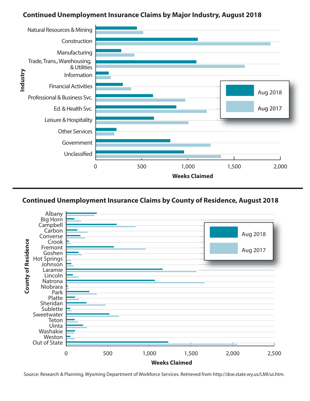## **Continued Unemployment Insurance Claims by Major Industry, August 2018**





Source: Research & Planning, Wyoming Department of Workforce Services. Retrieved from http://doe.state.wy.us/LMI/ui.htm.